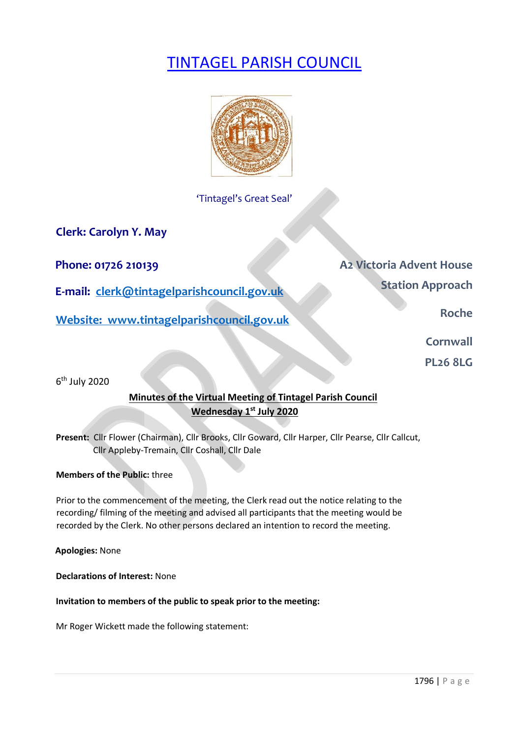# TINTAGEL PARISH COUNCIL



'Tintagel's Great Seal'

**Clerk: Carolyn Y. May** 

**E-mail:** clerk@tintagelparishcouncil.gov.uk **Station Approach** 

**Website:** www.tintagelparishcouncil.gov.uk **Roche Roche Roche** 

**Phone: 01726 210139 Phone: 01726 210139** 

**Cornwall** 

**PL26 8LG** 

6th July 2020

# **Minutes of the Virtual Meeting of Tintagel Parish Council Wednesday 1st July 2020**

**Present:** Cllr Flower (Chairman), Cllr Brooks, Cllr Goward, Cllr Harper, Cllr Pearse, Cllr Callcut, Cllr Appleby-Tremain, Cllr Coshall, Cllr Dale

### **Members of the Public:** three

Prior to the commencement of the meeting, the Clerk read out the notice relating to the recording/ filming of the meeting and advised all participants that the meeting would be recorded by the Clerk. No other persons declared an intention to record the meeting.

**Apologies:** None

**Declarations of Interest:** None

### **Invitation to members of the public to speak prior to the meeting:**

Mr Roger Wickett made the following statement: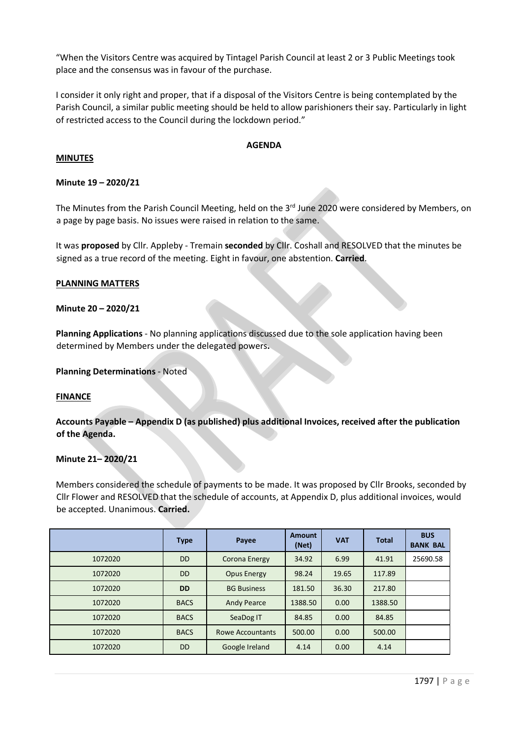"When the Visitors Centre was acquired by Tintagel Parish Council at least 2 or 3 Public Meetings took place and the consensus was in favour of the purchase.

I consider it only right and proper, that if a disposal of the Visitors Centre is being contemplated by the Parish Council, a similar public meeting should be held to allow parishioners their say. Particularly in light of restricted access to the Council during the lockdown period."

#### **AGENDA**

#### **MINUTES**

#### **Minute 19 – 2020/21**

The Minutes from the Parish Council Meeting, held on the 3<sup>rd</sup> June 2020 were considered by Members, on a page by page basis. No issues were raised in relation to the same.

It was **proposed** by Cllr. Appleby - Tremain **seconded** by Cllr. Coshall and RESOLVED that the minutes be signed as a true record of the meeting. Eight in favour, one abstention. **Carried**.

#### **PLANNING MATTERS**

#### **Minute 20 – 2020/21**

**Planning Applications** - No planning applications discussed due to the sole application having been determined by Members under the delegated powers**.**

**Planning Determinations** - Noted

#### **FINANCE**

**Accounts Payable – Appendix D (as published) plus additional Invoices, received after the publication of the Agenda.**

#### **Minute 21– 2020/21**

Members considered the schedule of payments to be made. It was proposed by Cllr Brooks, seconded by Cllr Flower and RESOLVED that the schedule of accounts, at Appendix D, plus additional invoices, would be accepted. Unanimous. **Carried.**

|         | <b>Type</b> | Payee                   | <b>Amount</b><br>(Net) | <b>VAT</b> | <b>Total</b> | <b>BUS</b><br><b>BANK BAL</b> |
|---------|-------------|-------------------------|------------------------|------------|--------------|-------------------------------|
| 1072020 | <b>DD</b>   | Corona Energy           | 34.92                  | 6.99       | 41.91        | 25690.58                      |
| 1072020 | <b>DD</b>   | Opus Energy             | 98.24                  | 19.65      | 117.89       |                               |
| 1072020 | <b>DD</b>   | <b>BG Business</b>      | 181.50                 | 36.30      | 217.80       |                               |
| 1072020 | <b>BACS</b> | <b>Andy Pearce</b>      | 1388.50                | 0.00       | 1388.50      |                               |
| 1072020 | <b>BACS</b> | SeaDog IT               | 84.85                  | 0.00       | 84.85        |                               |
| 1072020 | <b>BACS</b> | <b>Rowe Accountants</b> | 500.00                 | 0.00       | 500.00       |                               |
| 1072020 | <b>DD</b>   | Google Ireland          | 4.14                   | 0.00       | 4.14         |                               |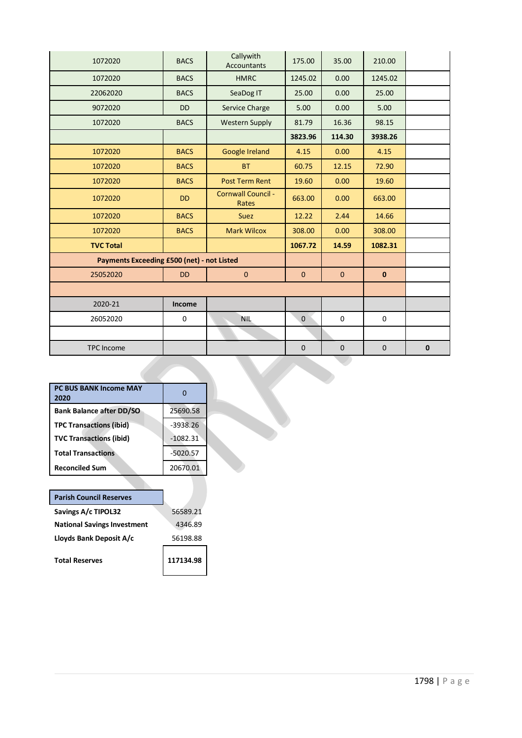| 1072020                                           | <b>BACS</b> | Callywith<br><b>Accountants</b> | 175.00       | 35.00        | 210.00       |              |
|---------------------------------------------------|-------------|---------------------------------|--------------|--------------|--------------|--------------|
| 1072020                                           | <b>BACS</b> | <b>HMRC</b>                     | 1245.02      | 0.00         | 1245.02      |              |
| 22062020                                          | <b>BACS</b> | SeaDog IT                       | 25.00        | 0.00         | 25.00        |              |
| 9072020                                           | <b>DD</b>   | Service Charge                  | 5.00         | 0.00         | 5.00         |              |
| 1072020                                           | <b>BACS</b> | <b>Western Supply</b>           | 81.79        | 16.36        | 98.15        |              |
|                                                   |             |                                 | 3823.96      | 114.30       | 3938.26      |              |
| 1072020                                           | <b>BACS</b> | Google Ireland                  | 4.15         | 0.00         | 4.15         |              |
| 1072020                                           | <b>BACS</b> | <b>BT</b>                       | 60.75        | 12.15        | 72.90        |              |
| 1072020                                           | <b>BACS</b> | <b>Post Term Rent</b>           | 19.60        | 0.00         | 19.60        |              |
| 1072020                                           | <b>DD</b>   | Cornwall Council -<br>Rates     | 663.00       | 0.00         | 663.00       |              |
| 1072020                                           | <b>BACS</b> | <b>Suez</b>                     | 12.22        | 2.44         | 14.66        |              |
| 1072020                                           | <b>BACS</b> | <b>Mark Wilcox</b>              | 308.00       | 0.00         | 308.00       |              |
| <b>TVC Total</b>                                  |             |                                 | 1067.72      | 14.59        | 1082.31      |              |
| <b>Payments Exceeding £500 (net) - not Listed</b> |             |                                 |              |              |              |              |
| 25052020                                          | <b>DD</b>   | $\pmb{0}$                       | $\mathbf{0}$ | $\mathbf{0}$ | $\mathbf{0}$ |              |
|                                                   |             |                                 |              |              |              |              |
| 2020-21                                           | Income      |                                 |              |              |              |              |
| 26052020                                          | $\mathbf 0$ | <b>NIL</b>                      | $\mathbf 0$  | $\mathbf 0$  | $\mathbf 0$  |              |
|                                                   |             |                                 |              |              |              |              |
| <b>TPC Income</b>                                 |             |                                 | $\mathbf 0$  | $\mathbf 0$  | $\mathbf 0$  | $\mathbf{0}$ |

| <b>PC BUS BANK Income MAY</b><br>2020 |            |
|---------------------------------------|------------|
| <b>Bank Balance after DD/SO</b>       | 25690.58   |
| <b>TPC Transactions (ibid)</b>        | $-3938.26$ |
| <b>TVC Transactions (ibid)</b>        | $-1082.31$ |
| <b>Total Transactions</b>             | $-5020.57$ |
| <b>Reconciled Sum</b>                 | 20670.01   |

| <b>Parish Council Reserves</b>     |           |
|------------------------------------|-----------|
| Savings A/c TIPOL32                | 56589.21  |
| <b>National Savings Investment</b> | 4346.89   |
| Lloyds Bank Deposit A/c            | 56198.88  |
| <b>Total Reserves</b>              | 117134.98 |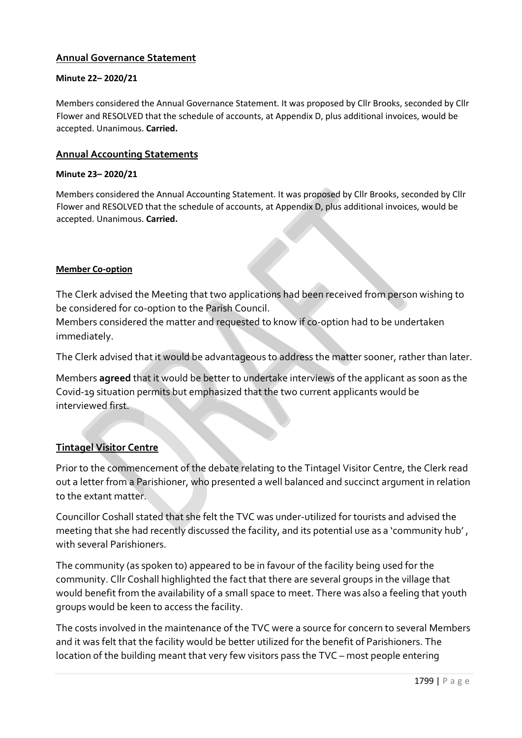# **Annual Governance Statement**

### **Minute 22– 2020/21**

Members considered the Annual Governance Statement. It was proposed by Cllr Brooks, seconded by Cllr Flower and RESOLVED that the schedule of accounts, at Appendix D, plus additional invoices, would be accepted. Unanimous. **Carried.**

### **Annual Accounting Statements**

#### **Minute 23– 2020/21**

Members considered the Annual Accounting Statement. It was proposed by Cllr Brooks, seconded by Cllr Flower and RESOLVED that the schedule of accounts, at Appendix D, plus additional invoices, would be accepted. Unanimous. **Carried.**

#### **Member Co-option**

The Clerk advised the Meeting that two applications had been received from person wishing to be considered for co-option to the Parish Council.

Members considered the matter and requested to know if co-option had to be undertaken immediately.

The Clerk advised that it would be advantageous to address the matter sooner, rather than later.

Members **agreed** that it would be better to undertake interviews of the applicant as soon as the Covid-19 situation permits but emphasized that the two current applicants would be interviewed first.

### **Tintagel Visitor Centre**

Prior to the commencement of the debate relating to the Tintagel Visitor Centre, the Clerk read out a letter from a Parishioner, who presented a well balanced and succinct argument in relation to the extant matter.

Councillor Coshall stated that she felt the TVC was under-utilized for tourists and advised the meeting that she had recently discussed the facility, and its potential use as a 'community hub' , with several Parishioners.

The community (as spoken to) appeared to be in favour of the facility being used for the community. Cllr Coshall highlighted the fact that there are several groups in the village that would benefit from the availability of a small space to meet. There was also a feeling that youth groups would be keen to access the facility.

The costs involved in the maintenance of the TVC were a source for concern to several Members and it was felt that the facility would be better utilized for the benefit of Parishioners. The location of the building meant that very few visitors pass the TVC – most people entering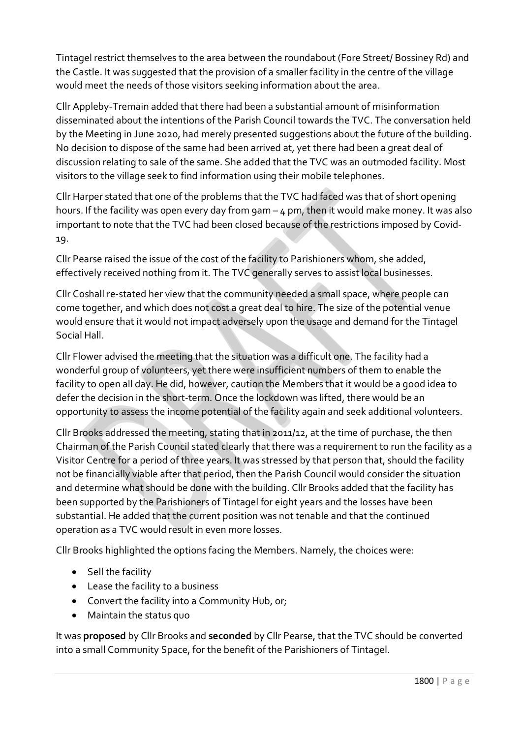Tintagel restrict themselves to the area between the roundabout (Fore Street/ Bossiney Rd) and the Castle. It was suggested that the provision of a smaller facility in the centre of the village would meet the needs of those visitors seeking information about the area.

Cllr Appleby-Tremain added that there had been a substantial amount of misinformation disseminated about the intentions of the Parish Council towards the TVC. The conversation held by the Meeting in June 2020, had merely presented suggestions about the future of the building. No decision to dispose of the same had been arrived at, yet there had been a great deal of discussion relating to sale of the same. She added that the TVC was an outmoded facility. Most visitors to the village seek to find information using their mobile telephones.

Cllr Harper stated that one of the problems that the TVC had faced was that of short opening hours. If the facility was open every day from 9am – 4 pm, then it would make money. It was also important to note that the TVC had been closed because of the restrictions imposed by Covid-19.

Cllr Pearse raised the issue of the cost of the facility to Parishioners whom, she added, effectively received nothing from it. The TVC generally serves to assist local businesses.

Cllr Coshall re-stated her view that the community needed a small space, where people can come together, and which does not cost a great deal to hire. The size of the potential venue would ensure that it would not impact adversely upon the usage and demand for the Tintagel Social Hall.

Cllr Flower advised the meeting that the situation was a difficult one. The facility had a wonderful group of volunteers, yet there were insufficient numbers of them to enable the facility to open all day. He did, however, caution the Members that it would be a good idea to defer the decision in the short-term. Once the lockdown was lifted, there would be an opportunity to assess the income potential of the facility again and seek additional volunteers.

Cllr Brooks addressed the meeting, stating that in 2011/12, at the time of purchase, the then Chairman of the Parish Council stated clearly that there was a requirement to run the facility as a Visitor Centre for a period of three years. It was stressed by that person that, should the facility not be financially viable after that period, then the Parish Council would consider the situation and determine what should be done with the building. Cllr Brooks added that the facility has been supported by the Parishioners of Tintagel for eight years and the losses have been substantial. He added that the current position was not tenable and that the continued operation as a TVC would result in even more losses.

Cllr Brooks highlighted the options facing the Members. Namely, the choices were:

- Sell the facility
- Lease the facility to a business
- Convert the facility into a Community Hub, or;
- Maintain the status quo

It was **proposed** by Cllr Brooks and **seconded** by Cllr Pearse, that the TVC should be converted into a small Community Space, for the benefit of the Parishioners of Tintagel.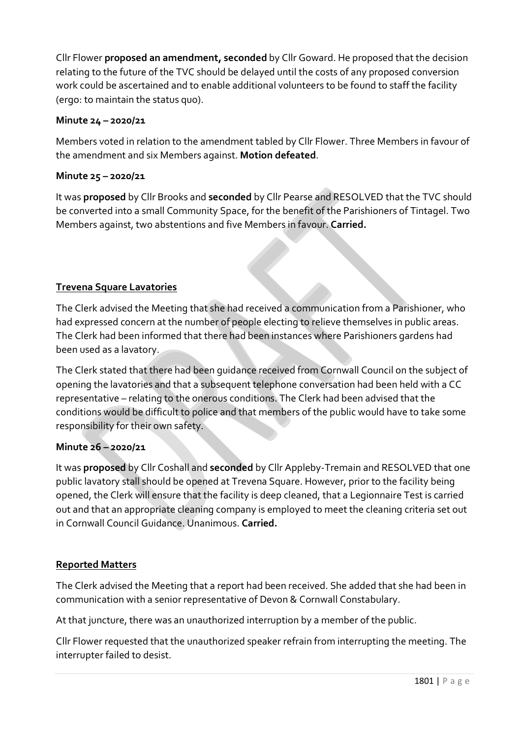Cllr Flower **proposed an amendment, seconded** by Cllr Goward. He proposed that the decision relating to the future of the TVC should be delayed until the costs of any proposed conversion work could be ascertained and to enable additional volunteers to be found to staff the facility (ergo: to maintain the status quo).

# **Minute 24 – 2020/21**

Members voted in relation to the amendment tabled by Cllr Flower. Three Members in favour of the amendment and six Members against. **Motion defeated**.

# **Minute 25 – 2020/21**

It was **proposed** by Cllr Brooks and **seconded** by Cllr Pearse and RESOLVED that the TVC should be converted into a small Community Space, for the benefit of the Parishioners of Tintagel. Two Members against, two abstentions and five Members in favour. **Carried.**

# **Trevena Square Lavatories**

The Clerk advised the Meeting that she had received a communication from a Parishioner, who had expressed concern at the number of people electing to relieve themselves in public areas. The Clerk had been informed that there had been instances where Parishioners gardens had been used as a lavatory.

The Clerk stated that there had been guidance received from Cornwall Council on the subject of opening the lavatories and that a subsequent telephone conversation had been held with a CC representative – relating to the onerous conditions. The Clerk had been advised that the conditions would be difficult to police and that members of the public would have to take some responsibility for their own safety.

# **Minute 26 – 2020/21**

It was **proposed** by Cllr Coshall and **seconded** by Cllr Appleby-Tremain and RESOLVED that one public lavatory stall should be opened at Trevena Square. However, prior to the facility being opened, the Clerk will ensure that the facility is deep cleaned, that a Legionnaire Test is carried out and that an appropriate cleaning company is employed to meet the cleaning criteria set out in Cornwall Council Guidance. Unanimous. **Carried.**

# **Reported Matters**

The Clerk advised the Meeting that a report had been received. She added that she had been in communication with a senior representative of Devon & Cornwall Constabulary.

At that juncture, there was an unauthorized interruption by a member of the public.

Cllr Flower requested that the unauthorized speaker refrain from interrupting the meeting. The interrupter failed to desist.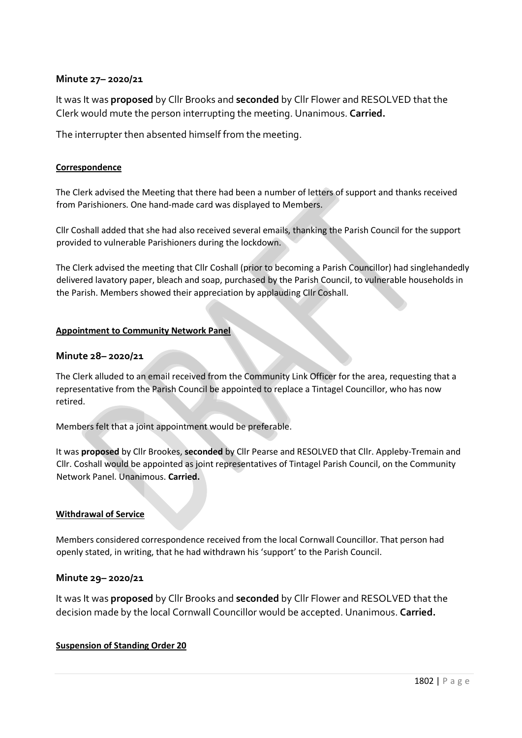### **Minute 27– 2020/21**

It was It was **proposed** by Cllr Brooks and **seconded** by Cllr Flower and RESOLVED that the Clerk would mute the person interrupting the meeting. Unanimous. **Carried.**

The interrupter then absented himself from the meeting.

#### **Correspondence**

The Clerk advised the Meeting that there had been a number of letters of support and thanks received from Parishioners. One hand-made card was displayed to Members.

Cllr Coshall added that she had also received several emails, thanking the Parish Council for the support provided to vulnerable Parishioners during the lockdown.

The Clerk advised the meeting that Cllr Coshall (prior to becoming a Parish Councillor) had singlehandedly delivered lavatory paper, bleach and soap, purchased by the Parish Council, to vulnerable households in the Parish. Members showed their appreciation by applauding Cllr Coshall.

#### **Appointment to Community Network Panel**

### **Minute 28– 2020/21**

The Clerk alluded to an email received from the Community Link Officer for the area, requesting that a representative from the Parish Council be appointed to replace a Tintagel Councillor, who has now retired.

Members felt that a joint appointment would be preferable.

It was **proposed** by Cllr Brookes, **seconded** by Cllr Pearse and RESOLVED that Cllr. Appleby-Tremain and Cllr. Coshall would be appointed as joint representatives of Tintagel Parish Council, on the Community Network Panel. Unanimous. **Carried.**

#### **Withdrawal of Service**

Members considered correspondence received from the local Cornwall Councillor. That person had openly stated, in writing, that he had withdrawn his 'support' to the Parish Council.

### **Minute 29– 2020/21**

It was It was **proposed** by Cllr Brooks and **seconded** by Cllr Flower and RESOLVED that the decision made by the local Cornwall Councillor would be accepted. Unanimous. **Carried.**

#### **Suspension of Standing Order 20**